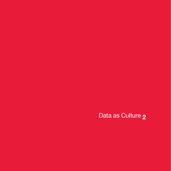Data as Culture **2**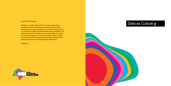#### First Edition. 200 copies.

Published in London, March 2014, by the Open Data Institute. No images or texts by the artists within this book may be repro duced in any form or by any electronic or mechanical means includ ing information storage and retrieval system without permission. The artists remain as the copyright holders of these images and texts. If you wish to reproduce any of this content please contact the artist. The texts by the ODI and Shiri Shalmy may be reproduced under a Creative Commons Non-Commercial Share-Alike licence.

#### theodi.org





# Data as Culture **2**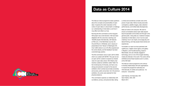The Data as Culture programme raises questions about the concepts and practicalities of open data. It explores the wider implication of the culture of open data on culture itself, to challenge our understanding of what data is, and how it may affect and reflect our lives.

Running the first commission as the inaugural ODI project was a bold decision. We have been delighted with the outcomes: reaching over 100,000 people internationally, with features at TED.com, in the Wall Street Journal, the Churchill Room in Whitehall, and in dozens of presentations from Taiwan to Washington DC. Over 3,000 visitors to our UK office experienced the works directly, and the feedback has been overwhelmingly positive.

The first commission was an open call for artists which we curated with MzTEK. This year we ran an open call for curators to expand our shared vision for open data culture. Shiri Shalmy had recently curated an exhibition called "Data" for the Contemporary Art Society, and had a very strong and prescient concept for the second exhibition which centred around data ownership and access, public and private. As in the previous exhibition, the works were selected for their physical presence.

This commission explores our relationship with surveillance, privacy, and personal data, taking a critical and sometimes comedic look at the power of open data. Works include pneumatic contraptions, satellite imagery, data collection performances, and knitted data discrepancies.

Data as Culture is for everyone. We want to ensure conversations about open data expand beyond specialist communities and through to the general public. Using data as a material increases awareness of what data is, how it can be used creatively, how it can inspire, encourage play and lateral thinking, and help people share stories and

experiences.

To broaden our reach we have partnered with Lighthouse, a digital culture agency and gallery in Brighton, and FutureEverything, based in Manchester, who are critically engaged in technology, and run one of the longest standing media arts festivals in the world. The works will be exhibited across these locations and in London, at the ODI itself.

The Data as Culture programme will continue to develop relationships with arts organisations to expand the programme nationally and internationally, for artists and audiences – for everyone – everywhere.

Julie Freeman, Art Associate, ODI

Gavin Starks, CEO, ODI March 2014



# **Data as Culture 2014**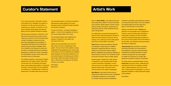Much of **James Bridle**'s work deals with secrecy surrounding drone warfare. Turning his lens back at the watchers, Bridle presents a series of prints showing military drone bases, exposing the all seeing eyes used by armies worldwide with the help of Google Earth.

In a related piece commissioned especially for Data as Culture, AQD Remembrancer, Bridle will explore the links between City finance and the industry of war, pitching two sets of data against each other to reveal hidden connections.

**YoHa** (Graham Harwood and Matsuko Yokokoji) are interested in military data from a different perspective. Endless War offers an unnerving reading of war diary entries made by soldiers fighting in Afghanistan and exposed by Wikileaks, as they are read by a machine. The mechanical crackle and scope of the piece, make an uneasy reading.

Another project, Invisible Airs, invites viewers to experience council spending data through a series of pneumatic contraptions, moving with every entry of over £500. Visitors' physical reactions become part of the piece as the machine perform their useless choreography.

**James Brooks** takes the liberty to transform real official information from the practical to the fantastical in a final act of data subversion. Arranging EU embassies telephone numbers in fictional call logs that may never happen, he creates new narratives out of static data, presented as abstract modernist compositions.

**Sam Meech**'s Punchcard Economy banner, referencing the 888 movement which campaigned for regulating working hours, was created on domestic knitting machines. Manifesting

information submitted by self-employed creatives via virtual punchcards, Meech turns work patterns into knitting patterns and online data into a banner in the old trade-unions tradition.

Staying in the physical realm, **Thickear** ask visitors for an even greater level of engagement. Using the visual and performative language of bureaucratic exchange, this ODI commission invites the FutureEverything festival audience to fill in forms (in three copies!), file the information at the ODI office, and analyze the hard copy data at their desks at Lighthouse.

Indeed, the show generates some of its own data, which turns into an integral part of the project. The very format of the exhibition is being challenged by the geographical and virtual scope of the project, with work exhibited across different physical spaces and information gathered in one site carried through to the following one. While in some cases visitors are asked to simply join the dots, in others they must respond to the artist's call: give us your data!

The entire project is represented again through **Paolo Cirio**'s web piece which, challenging and subverting the format of a catalogue, exposes visitors' digital fingerprints as they look at the work. Coercing them into participation, it uses live generated metadata to create transmuted images of the exhibition.

Shiri Shalmy

## **Curator's Statement Artist's Work**

From census boycotts to Indymedia, Freedom of Information Act to Wikileaks, the question of ownership over data, personal and public, is understood as a question of authority. It is this tension between secret agents and personal agency that the exhibition attempts to explore.

Gaining access, authorised or otherwise, to the devices and networks that are used to record, measure and order the world, the artists employ a range of strategies to expose and share data, while interrogating the accessibility of the gathered information and the potential for claiming it back as public knowledge. Works in the exhibition move between the direct and the poetic, the representational to the abstract, attempting to visualise the invisible, interrogate the impenetrable, and give human scale to the monstrous volume of information.

The exhibition presents a wide range of creative approaches to the subject matter, intentionally moving away from the traditional technologyheavy, screen-based representation of networked information. Experimenting with the possibilities and limitations of manifesting data in digital and physical form, the artists often arrive at unusual

and surprising solutions, including work patterns represented as textile patterns and council spending records manifested through pneumatic homemade contraptions.

The role of the artist – as witness, storyteller, or agitator – is key to this investigation as much as the role and responsibility of the viewer.

The exchange between artist, database and audience is essential to the creation and enjoyment of the work.

Shiri Shalmy March 2014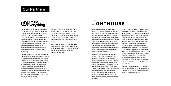Lighthouse is a digital culture agency. Through our work with artists, filmmakers, designers, scientists and others, we help people understand and operate in a world permeated by technology. We celebrate the opportunities offered by technology, in new forms of creative expression, innovation, and advances in science and understanding. But we also take a critical stance: we question the popular narratives of progress, reveal unspoken agendas, and probe for unexploited opportunities.

Our recent programme has focused on exposing the hidden technologies that enable our networked world, such as Timo Arnall's Immaterials, which visualises otherwise invisible network infrastructure, from WiFi networks to GPS signals. We've also featured James Bridle's work Drone Shadows, which brings home the technology of modern warfare. And most recently, we've been working with practitioners on the culture of personal data, which has changed so dramatically since the Snowden revelations.

In this moment, Data As Culture is a timely intervention. An opportunity to step back and consider our relationship to data, to the systems that collect it, and to the services that it powers. How do we reconcile our desire for more data-driven services, with concerns over privacy and surveillance? What's the real contract we make when we sign up for free services that extract commercial value from the data of users? As we have the opportunity to collect and share ever more data about ourselves – what we buy, where we are, hours slept, calories consumed, steps taken – will it make us healthier or happier? Will it make our services more efficient, or our cities smarter? Who owns this data, and who's allowed to

play with it?

Works and events from the ODI's Data as Culture programme will be at Lighthouse, in Brighton, in June 2014. See lighthouse.org. uk for full programme details.

FutureEverything has been at the forefront of the open data movement for a number of years, through its work on establishing DataGM - the Greater Manchester Datastore, the Open Data Cities programme, the pan-European CitySDK project, and the newly established Greater Manchester Data Synchronisation Programme. The organisation's recent addition to the ODI Node network has seen it recognised as an integral part of the UK's open data community.

Digital culture, art and innovation activity all contribute to FutureEverything's core values of realising a truly participatory culture and society, with art and research at the centre. Utilising groundbreaking artworks and playful experimentation as tools of engagement, Data as Culture has the opportunity to externalise and make accessible much of the thinking, behind the scenes research and activism within the open data community, and present it within an artistic context and publicly digestible format.

With the exhibition touring around the UK, initially to the ODI and Lighthouse, Data as Culture is a hugely powerful tool in communicating the importance and power of open data not just within the already engaged community, but wider society as a whole.

The FutureEverything Festival takes place on 27 March - 1 April 2014 in Manchester, with the theme 'Tools for Unknown Futures'. Further information can be found at futureeverything.org

# LIGHTHOUSE

## **Our Partners**

# **6** Everything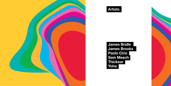**James Bridle James Brooks Paolo Cirio Sam Meech Thickear Yoha**







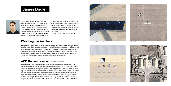#### **Watching the Watchers**

Watching the Watchers is an ongoing series of images taken from publicly-available digital satellite maps, of unmanned aircraft around the world, at training bases in the US desert and secret installations in Afghanistan, Pakistan, and elsewhere. These military technologies, designed to operate without being seen - visually, politically, or morally – are nevertheless accessible to the gaze of contemporary, civilian networks. By rendering them visible, we render their operation and politics legible, and thus open to intervention.

James Bridle is an artist, writer, and publisher based in London, UK. His writing on literature, culture and networks has appeared in magazines and newspapers including Wired, Domus, Cabinet, the Atlantic, the New Statesman, the Observer and many others, in print and online. His artworks and installations have been commissioned and

exhibited worldwide and on the internet. He lectures regularly at universities, conferences and other events. His formulation of the New Aesthetic research project has spurred debate and creative work across multiple disciplines.

His work can be found at booktwo.org

## **James Bridle**





Gray Butte Field, California, 30.4.2007





Palmdale AFB, California, 2013 Jalalabad Airfield, Afghanistan, 27.2.2011



Holloman AFB, New Mexico, 18.4.2011

#### **AQD Remembrancer – an ODI Commission**

Named after the the US Department of Defence 'Disposition Matrix', an advanced but opaque database developed as a 'next-generation capture / kill list', AQD (A Quiet Disposition) is an open-source intelligence-gathering tool using contextual analysis, machine learning, and publicly-available information to build up a detailed database of people, companies and places connected with the development and use of military drones, matching them against data from London financial sector and stock exchange and exposing hidden connections. Referring to the intent encoded into technology and its disposition to reproduce the political aims of its creators, AQD both mirrors and interrogates the politics of systems.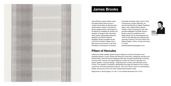James Brooks' practice utilises screen and paper-based media sources of varying cultural status as starting points. Implementing a variety of interventions, Brooks realises esoteric manipulations in an attempt to investigate the position and reception of imagery/ data/ information within society, appropriating Modernist aesthetics and system-based art strategies. Brooks completed his MA in Fine Art at Chelsea College of Art in 2004 and has since shown in the UK at Tate Britain, Contemporary Art Society,

Domobaal, Seventeen, Man and Eve, Trinity Contemporary, Arcade, Riflemaker. He showed Internationally at Galerie Thaddaeus Ropac, Paris, Galerie Martina Detterer, Frankfurt, Trinity Contemporary, New York and Bomuldsfabriken Kunsthall, Norway. Brooks curated the exhibitions Until it Makes Sense and The Royal Republic and wrote for the publication accompanying the symposium Drawing: The Future held at The National Gallery, London. He lives and works

in London.



#### **Pillars of Hercules**

Utilising the readily available 'general enquiry' telephone numbers of European Union embassies based in London, Brooks has fictitiously constructed 10 telephone call logs as A4 printed sheets, where the various embassies have been recorded hypothetically conversing with each other. However, the original telephone numbers are further complicated via a simple, repetitive, numerical strategy - duplicating each numeral a self-referential amount of times. This repetition is intended to aesthetically encourage the reference to the modular construction of ancient architectural columns - and in turn historic notions of: administration, stability, democracy and the civic order underpinning European society.

Digital prints on archival paper, 10 x 29.7 x 21cm (framed dimensions 35 x 27cm)

| 22 77777772233355555666666999999999666666333                                                                                                                                                                                  |                         |
|-------------------------------------------------------------------------------------------------------------------------------------------------------------------------------------------------------------------------------|-------------------------|
|                                                                                                                                                                                                                               | $-227777773331222222$   |
|                                                                                                                                                                                                                               |                         |
| 22 77777772233355555666668999999999666666333-                                                                                                                                                                                 | $-227777773331222222$   |
| 22 7777777223335555566666699999999666666333-                                                                                                                                                                                  | - 22 7777773331222222   |
| 22 7777777223335555566666999999999666666333                                                                                                                                                                                   | $-227777773331222222$   |
|                                                                                                                                                                                                                               | $-227777773331222222$   |
| 22 77777772233355555666666999999996666665333-                                                                                                                                                                                 |                         |
| 22 77777772233355555666666999999996666665333-                                                                                                                                                                                 | 22 77777773331222222    |
| 22 77777772233355555666666999999999666666333-                                                                                                                                                                                 | $-227777773331222222$   |
| 22 7777777223335555566666699999999666666333                                                                                                                                                                                   | $-227777773331222222$   |
|                                                                                                                                                                                                                               |                         |
| 22 77777772233355555666666999999999666666333                                                                                                                                                                                  | $-22\,7777773331222222$ |
| 1227777777223335555566666699999999666666333                                                                                                                                                                                   | - 22 77777773331222222  |
|                                                                                                                                                                                                                               |                         |
| 22 7777777223335555566666699999999666666333                                                                                                                                                                                   | - 22 77777773331222222  |
| 22 77777772233355555666666999999999666666333                                                                                                                                                                                  | $-227777773331222222$   |
| 22 7777777223335555566666699999999666666333                                                                                                                                                                                   | $-227777773331222222$   |
|                                                                                                                                                                                                                               | $-227777773331222222$   |
| 22 7777777223335555566666699999999666666333                                                                                                                                                                                   |                         |
| 22 77777772233355555666666999999999666666333-                                                                                                                                                                                 | - 22 7777773331222222   |
| 22 77777772233355555666666999999990666666333                                                                                                                                                                                  | - 22 7777773331222222   |
| $-22\,77777773331222222$                                                                                                                                                                                                      |                         |
| 22 77777772233355555666666999999996666666333-                                                                                                                                                                                 |                         |
| <u> 1980 - John Stone, Amerikaansk politiker (* 1908)</u><br>22 77777772233355555666666999999999666666333-                                                                                                                    | $-227777773331222222$   |
| 22 7777777223335555566666999999999666666333                                                                                                                                                                                   | $-227777773331222222$   |
|                                                                                                                                                                                                                               |                         |
| 22 7777777223335555566666699999999666666333-                                                                                                                                                                                  | - 22 7777773331222222   |
| 22 77777772233355555666666999999996666666333                                                                                                                                                                                  | - 22 7777773331222222   |
| 22 777777722333555556666669999999996666665333-                                                                                                                                                                                | $-227777773331222222$   |
| $22\,7777773331222222$                                                                                                                                                                                                        |                         |
| 22 77777772233355555666666999999990666666333                                                                                                                                                                                  |                         |
| 22 77777772233355555666666999999999666666333                                                                                                                                                                                  | $-227777773331222222$   |
| 22 77777772233355555666666999999996666665333                                                                                                                                                                                  | - 22 7777773331222222   |
| the control of the control of the control of the control of the control of the control of the control of the control of the control of the control of the control of the control of the control of the control of the control |                         |
| 22 77777772233355555666666999999999666666333                                                                                                                                                                                  | - 22 7777773331222222   |
| 22 77777772233355555666669999999996666666333                                                                                                                                                                                  | $-227777773331222222$   |
| 22 77777772233355555666666999999996666666333                                                                                                                                                                                  | 22 7777773331222222     |
|                                                                                                                                                                                                                               |                         |
| 22 77777772233355555666666999999999666668333                                                                                                                                                                                  | $-227777773331222222$   |
| 22 7777777223335555566666699999999666666333                                                                                                                                                                                   | 22 77777773331222222    |
| <u>man ing pagkit, may na sa sababan na</u><br>22 77777772233355555666666999999999666666333-                                                                                                                                  | $-227777773331222222$   |
|                                                                                                                                                                                                                               |                         |
| 22 77777772233355555666666999999999666666333                                                                                                                                                                                  | - 22 7777773331222222   |
| 22 777777722333555556666669999999996666665333                                                                                                                                                                                 | $-227777773331222222$   |
|                                                                                                                                                                                                                               |                         |
| 22 77777772233355555666666999999996666665333-                                                                                                                                                                                 | - 22 7777773331222222   |
| 22 77777772233355555666666999999999666666333                                                                                                                                                                                  | - 22 7777773331222222   |
| 22 77777772233355555666666999999999666666333                                                                                                                                                                                  | - 22 7777773331222222   |
|                                                                                                                                                                                                                               |                         |
| 22 77777772233355555666666999999996666665333                                                                                                                                                                                  | - 22 7777773331222222   |
| 22 777777722333555556666669999999996666665333-                                                                                                                                                                                | - 22 7777773331222222   |
| 22 77777772233355555666666999999999666666333                                                                                                                                                                                  | - 22 77777773331222222  |
|                                                                                                                                                                                                                               |                         |
| 22 77777772233355555666666999999999666666333                                                                                                                                                                                  | - 22 7777773331222222   |
| 22 77777772233355555666666999999999666666333                                                                                                                                                                                  | - 22 7777773331222222   |
| 22 777777722333555556666689999999996666665333                                                                                                                                                                                 | $-227777773331222222$   |
|                                                                                                                                                                                                                               |                         |
| 12277777772233355555666666999999999666666333-                                                                                                                                                                                 | - 22 77777773331222222  |
| 22 77777772233355555666666999999999666666333                                                                                                                                                                                  | - 22 7777773331222222   |
|                                                                                                                                                                                                                               |                         |
|                                                                                                                                                                                                                               |                         |
| 22 7777777223335555566666699999999666666333                                                                                                                                                                                   | 22 7777773331222222     |
| 22 77777772233355555666666999999999666666333                                                                                                                                                                                  | - 22 7777773331222222   |
|                                                                                                                                                                                                                               |                         |
| 22 77777772233355555666666999999999666666333                                                                                                                                                                                  | - 22 7777773331222222   |
| 22 77777772233355555666666999999999666666333                                                                                                                                                                                  | $-227777773331222222$   |
| 22 7777777223335555566666699999999666666333                                                                                                                                                                                   | $-227777773331222222$   |
|                                                                                                                                                                                                                               |                         |
| 22 77777772233355555666666999999999666666333                                                                                                                                                                                  | - 22 7777773331222222   |
| 22 77777772233355555666666999999999666666333                                                                                                                                                                                  | $-227777773331222222$   |
| 22 777777223335555566666699999999666666333                                                                                                                                                                                    | $-227777773331222222$   |
| 22 77777772233355555666666999999999666666333                                                                                                                                                                                  | $-227777773331222222$   |
|                                                                                                                                                                                                                               |                         |
| 22 777777722333555556666669999999900666666333                                                                                                                                                                                 | $-227777773331222222$   |
| 22 7777777223335555566666699999999666666333                                                                                                                                                                                   | -22 7777773331222222    |
| 22 77777772233355555666666999999999666666333                                                                                                                                                                                  |                         |
|                                                                                                                                                                                                                               | $-227777773331222222$   |
| 22 77777773331222222<br>22 7777777223335555566666699999999666666333                                                                                                                                                           |                         |
| $-22\,7777773331222222$<br>22 77777772233355555566666999999999666666333-                                                                                                                                                      |                         |
| 22 7777777223335555566666699999999666666333                                                                                                                                                                                   | $-227777773331222222$   |
|                                                                                                                                                                                                                               |                         |
| 22 77777772233355555666666999999996666668333                                                                                                                                                                                  | 22 77777773331222222    |
| 22 77777772233355555666666999999999666666333                                                                                                                                                                                  | - 22 77777773331222222  |
|                                                                                                                                                                                                                               |                         |
| 22 77777772233355555666668999999999666666333                                                                                                                                                                                  | - 22 7777773331222222   |
| 22 77777772233355555666666999999999666666333                                                                                                                                                                                  | 22 7777773331222222     |
| 22 7777777223335555566666999999999666666333                                                                                                                                                                                   | 22 77777773331222222    |
|                                                                                                                                                                                                                               |                         |
| 22 77777772233355555666666999999990666666333                                                                                                                                                                                  | 22 77777733312222222    |
| 22 7777777223335555566666999999999666666333                                                                                                                                                                                   | 22 77777773331222222    |
| 22 7777777223335555566666699999999666666333                                                                                                                                                                                   | 22 77777773331222222    |
|                                                                                                                                                                                                                               |                         |
| 22 77777772233355555666666999999999666666333                                                                                                                                                                                  | 22 77777773331222222    |
| 22 77777772233355555666666999999999666666333                                                                                                                                                                                  | 22 7777773331222222     |
| 22 77777772233355555666666999999999666666333                                                                                                                                                                                  | 22 7777773331222222     |
|                                                                                                                                                                                                                               |                         |
| 22 77777772233355555666666999999990666666333                                                                                                                                                                                  | 22 7777773331222222     |
| 22 77777772233355555666666999999999666666333                                                                                                                                                                                  | 22 77777773331222222    |
| 22 77777772233355555666666999999999666666333                                                                                                                                                                                  | 22 777777733312222222   |
| 22 777777722333555556666699999999966666333                                                                                                                                                                                    | 22 77777773331222222    |

# **James Brooks**



Photo: Erika Wall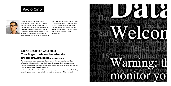#### Online Exhibition Catalogue **Your fingerprints on the artworks are the artwork itself – an ODI Commission**

Paolo was invited to conceptualise and develop an online catalogue that would be informative while questioning the cyclical nature of metadata. Continually generating material, the catalogue harvests and repurposes visitors 'browser fingerprint' data to create new representations of the exhibited works.

Unlike a traditional archive, the catalogue continues to grow and evolve with each viewing, presenting an innovative opportunity for visitors to become a part of the work itself.



Paolo Cirio works as a media artist in various fields: net-art, public-art, video-art, software-art and experimental fiction. He has won prestigious media art awards and his subversive works have been sustained by research grants, residencies and he has exhibited in international museums and institutions worldwide. As public speaker he delivers lectures and workshops on tactics of media interventions. Cirio investigates perception and the creation of cultural, political and economic realities that are designed by information through content, distribution and modes of media. paolocirio.net

# **Paolo Cirio**

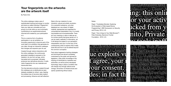The online catalogue makes uses of sophisticated tracking technology to monitor and store so-called individual "fingerprints". Here your data are vulnerable and your privacy is at risk while you are involuntarily contributing to an experimental artwork, informed and created by your participation in it.

This is a coercive form of audience participation in an art exhibition: an innovative opportunity to become part of the work itself in an exhibition that generates its own data, through an interactive catalogue that changes and expands upon its use.

Created through visitors interactions with the online catalogue, the continuously generated metadata is exposed on the website in its raw form as logs, which, harvested and re-purposed, ultimately produces new derivatives artworks. It melts visitor fingerprints into raw materials and transmutes them.

The final derivative artworks created through this catalogue are re-distributed as open datasets available for others' uses, feeding the endless loop of recursive data creation and processing, influence and self-reflection.

Data is the raw material of a new industrial, cultural and artistic revolution. It is a powerful substance, yet when displayed as a raw stream of digital material, represented and organised for computational interpretation only, it is mostly inaccessible and incomprehensible. There isn't any meaning or value in data per se. It is human activity that gives sense to it. It can be useful, aesthetic or informative, yet it will always be subject to our perception, interpretation and use. It is the duty of the contemporary artist to explore what it really looks like and how it can be altered beyond the common conception.

Facts about aggressive tracking strategies and techniques are almost completely overlooked by the public and ignored by legislators. Little public knowledge of the tracking of individuals by marketers and authorities, as well as poorly developed technology, keep in place a condition that will change only through radical social change, reinvention of infrastructures and openly questioning ethical values.

#### Notes:

Paper: "Cookieless Monster: Exploring the Ecosystem of Web-based Device Fingerprinting", IEEE Symposium on Security and Privacy, 2013, U.S.

Paper: "How Unique Is Your Web Browser?", Peter Eckersley, Electronic Frontier Foundation, 2010, U.S.

# le exp ur consent. es; in fact th

# this our act cked from ito, Private refex and hets op



#### **Your fingerprints on the artworks are the artwork itself**

By Paolo Cirio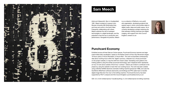Artist and Videosmith. Born in Huddersfield 1981, Meech studied at Liverpool John Moores University (BA Multimedia Arts), and lives and works in the North West. Frequently collaborating with others, Meech explores the role of analogue technologies in a digital landscape, and the potential to fuse the two in production and performance. Alongside his practice, Meech is a co-director of ReDock a non-profit arts organisation, developing projects that explore ways in which communities relate to digital media, ideas and public space. He is currently developing a project exploring the links between knitting machines and digital imaging, with support from Arts Council England. smeech.co.uk

#### **Punchcard Economy**

Exhibited across all three Data as Culture spaces, Punchcard Economy banners are largescale knitted data visualisation, based on the Robert Owen's 8 Hour Day Movement slogan: '8 Hours Labour, 8 Hours Recreation, 8 Hours Rest'. The work incorporates contemporary data about working hours within the 'digital' economy, collected via a virtual punchcard on the project website, to map the shift from Owen's ideal. Translating work patterns into knitting patterns using the similar punchcard technology, each misplaced stitch represents an hour of work done outside of the 8 hour 'contract'. Visitors are invited to contribute to the project by using the website to track their own working hours. The work has been created using a Brother KH950i electronic domestic knitting machine (produced 1988), and uses the DaviWorks IMG2Track software (daviworks.com/knitting) and PPD cable hack to transfer digital image files from the mac to the knitting machine. Punchcard Economy has been supported by FACT Liverpool and Arts Council England. punchcardeconomy.co.uk

ODI: 3.5 x 0.5m knitted banner, FutureEverything: 5 x 3m knitted banner & knitting machines





## **Sam Meech**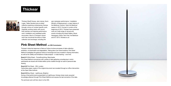Thickear (Geoff Howse, Jack James, Kevin Logan, Tadeo Sendon) are an artists' collective exploring contemporary themes through a focus on context specific work. Originally working mainly with sound, their practise now features performance work, installation and meditated public encounters. Much of Thickear's recent work has concerned the ethics of data collection and exchange, including the

epic dystopian performance / installation Ministry of Measurement, a major feature of the Barbican Centre's 'Hack the Barbican' season in 2013. Formed in London at the beginning of 2012, Thickear have presented work at a wide range of venues and events including the Arbeit Gallery, Music Hackspace, Music Tech Fest, the Barbican and ICT 2013. thickear.co.uk

#### **Pink Sheet Method - an ODI Commission**

Thickear's triptychal response to Data as Culture involves processes of data collection, exhibition, re-examination and degradation. Taking place over three locations, Pink Sheet Method investigates the gestural notions of exchange and trust invested in sharing information, as well as the validity and limitations of data analysis – or data fracking – over time.

#### **Event #1** White Sheet - FutureEverything, Manchester

Pink Sheet Method commences with a series of data gathering consultancies in which participants are issued with limited edition prints created through an audit of personal data sharing.

#### **Event #2** Pink Sheet - ODI, London

Carbonless paper copies of the original document are revealed through an office intervention at the Open Data Institute.

#### **Event #3** Blue Sheet - Lighthouse, Brighton

During a final performance presentation at Lighthouse, thickear share newly acquired knowledge attained through Pink Sheet Method and expose the last remnants of the data.

The archived work will then return to the ODI.



## **Thickear**

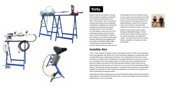

Q

 $=$ 

Graham Harwood and Matsuko Yokokoji (YoHa translates to English as 'aftermath') have lived and worked together since 1994. YoHa's graphic vision and technical tinkering has powered several celebrated collaborations establishing an international reputation for pioneering arts projects, including the first on-line commission from Tate Gallery London and work in the permanent collections of the Pompidou Centre, ZKM and Manifesta07. Harwood and Yokokoji's co founded the artists group Mongrel (1996-2007) and established the free-media lab MediaShed (2005-2008). In 2008 they joined Richard Wright to produce Tantalum Memorial which won the

Transmediale first prize for 2009 and toured over four years to nine countries and 15 cities. In 2010 YoHa produced the celebrated Coal Fired Computers. Their latest project is Evil Media Distribution Centre (2013). Harwood works at the Centre for Cultural Studies, Goldsmiths, University of London. yoha.co.uk

Matthew Fuller's books include 'Media Ecologies, Materialist Energies in Art and Technoculture', 'Behind the Blip, Essays on the Culture of Software' and 'Elephant & Castle'. He works at the Centre for Cultural Studies, Goldsmiths, University of London. spc.org/fuller

### **Invisible Airs**

In 2011, YoHa, assisted by Stephen Fortune, attempted to read the 20,000 comma-separated lines of the apparently open Bristol City Council expenditure database. Concluding that power revealed itself through multiple layers of boredom, they decided that the best way to reveal the relations contained within the databases to the people affected by it would be to construct four contraptions which would enable visitors to: Test their aim with the Expenditure Filled Spud Gun; Balance the books with the Open Data Book Stabber; Polish the floor with an Older People Pneumatic Brusher; and, Grab the civic reins with the Public Expenditure Riding Machine. Originally operated by linking them to computers analyzing entries in the expenditure database, any expense over £500 caused the contraptions to rise, stab, shoot and brush in a series of seemingly meaningless actions.

Presented at the ODI and Lighthouse are the Open Data Book Stabber, the Public Expenditure Riding Machine, the Expenditure Filled Spud Gun, as well as the Invisible Airs documentary by Alistair Oldham. yoha.co.uk/invisible



# **YoHa**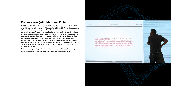#### **Endless War (with Matthew Fuller)**

On 25th July 2010, WikiLeaks released the Afghan War Diary, exposing over 91,000 (15,000 withheld) reports covering the war in Afghanistan from 2004 to 2010. Written by soldiers and officers, the data includes intelligence information, descriptions of military actions, meetings and other information. The entries were analysed by software looking for repeated patterns of events, spatial information, kinds of actors, timings and other factors. While some of the data was interpreted and published by newspapers, the full data set - containing endless permutation of jargon, acronyms and cross-references - remains mostly inaccessible. Endless War is a video installation revealing the real-time processing of this data seen from a series of different analytical points of view: each individual entry, phrase matching between entries and searches for the frequency of terms. It shows how the way war is thought relates to the way it is fought.

Both are seen as, potentially endless, computational processes. The algorithmic imaginary of contemporary power meshes with the drawn out failure of imperial adventure.



market modulation

2000 Power L signar. **CRANTIA ISSUED**